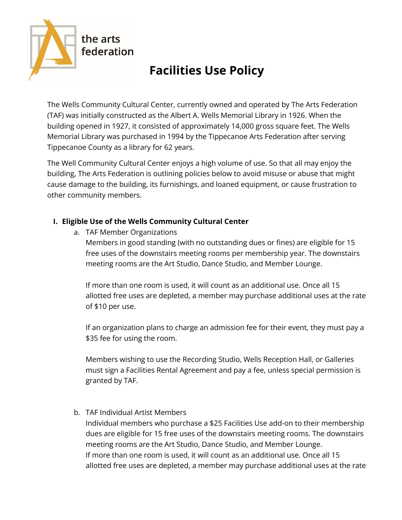

# **Facilities Use Policy**

The Wells Community Cultural Center, currently owned and operated by The Arts Federation (TAF) was initially constructed as the Albert A. Wells Memorial Library in 1926. When the building opened in 1927, it consisted of approximately 14,000 gross square feet. The Wells Memorial Library was purchased in 1994 by the Tippecanoe Arts Federation after serving Tippecanoe County as a library for 62 years.

The Well Community Cultural Center enjoys a high volume of use. So that all may enjoy the building, The Arts Federation is outlining policies below to avoid misuse or abuse that might cause damage to the building, its furnishings, and loaned equipment, or cause frustration to other community members.

## **I. Eligible Use of the Wells Community Cultural Center**

a. TAF Member Organizations

Members in good standing (with no outstanding dues or fines) are eligible for 15 free uses of the downstairs meeting rooms per membership year. The downstairs meeting rooms are the Art Studio, Dance Studio, and Member Lounge.

If more than one room is used, it will count as an additional use. Once all 15 allotted free uses are depleted, a member may purchase additional uses at the rate of \$10 per use.

If an organization plans to charge an admission fee for their event, they must pay a \$35 fee for using the room.

Members wishing to use the Recording Studio, Wells Reception Hall, or Galleries must sign a Facilities Rental Agreement and pay a fee, unless special permission is granted by TAF.

b. TAF Individual Artist Members

Individual members who purchase a \$25 Facilities Use add-on to their membership dues are eligible for 15 free uses of the downstairs meeting rooms. The downstairs meeting rooms are the Art Studio, Dance Studio, and Member Lounge. If more than one room is used, it will count as an additional use. Once all 15 allotted free uses are depleted, a member may purchase additional uses at the rate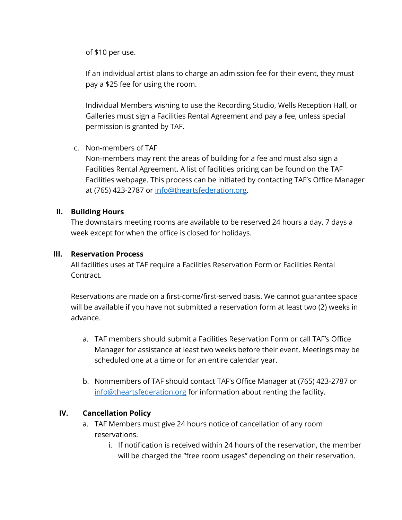of \$10 per use.

If an individual artist plans to charge an admission fee for their event, they must pay a \$25 fee for using the room.

Individual Members wishing to use the Recording Studio, Wells Reception Hall, or Galleries must sign a Facilities Rental Agreement and pay a fee, unless special permission is granted by TAF.

#### c. Non-members of TAF

Non-members may rent the areas of building for a fee and must also sign a Facilities Rental Agreement. A list of facilities pricing can be found on the TAF Facilities webpage. This process can be initiated by contacting TAF's Office Manager at (765) 423-2787 or [info@theartsfederation.org.](mailto:info@theartsfederation.org)

#### **II. Building Hours**

The downstairs meeting rooms are available to be reserved 24 hours a day, 7 days a week except for when the office is closed for holidays.

#### **III. Reservation Process**

All facilities uses at TAF require a Facilities Reservation Form or Facilities Rental Contract.

Reservations are made on a first-come/first-served basis. We cannot guarantee space will be available if you have not submitted a reservation form at least two (2) weeks in advance.

- a. TAF members should submit a Facilities Reservation Form or call TAF's Office Manager for assistance at least two weeks before their event. Meetings may be scheduled one at a time or for an entire calendar year.
- b. Nonmembers of TAF should contact TAF's Office Manager at (765) 423-2787 or [info@theartsfederation.org](mailto:info@theartsfederation.org) for information about renting the facility.

## **IV. Cancellation Policy**

- a. TAF Members must give 24 hours notice of cancellation of any room reservations.
	- i. If notification is received within 24 hours of the reservation, the member will be charged the "free room usages" depending on their reservation.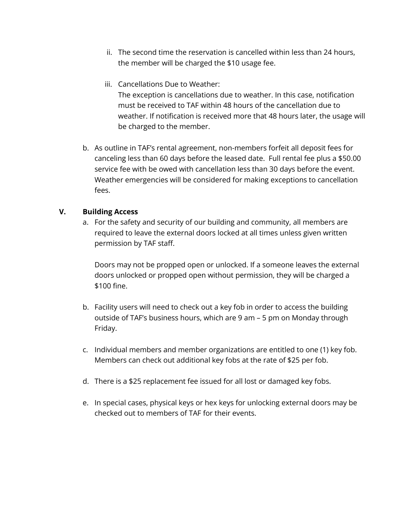- ii. The second time the reservation is cancelled within less than 24 hours, the member will be charged the \$10 usage fee.
- iii. Cancellations Due to Weather:

The exception is cancellations due to weather. In this case, notification must be received to TAF within 48 hours of the cancellation due to weather. If notification is received more that 48 hours later, the usage will be charged to the member.

b. As outline in TAF's rental agreement, non-members forfeit all deposit fees for canceling less than 60 days before the leased date. Full rental fee plus a \$50.00 service fee with be owed with cancellation less than 30 days before the event. Weather emergencies will be considered for making exceptions to cancellation fees.

## **V. Building Access**

a. For the safety and security of our building and community, all members are required to leave the external doors locked at all times unless given written permission by TAF staff.

Doors may not be propped open or unlocked. If a someone leaves the external doors unlocked or propped open without permission, they will be charged a \$100 fine.

- b. Facility users will need to check out a key fob in order to access the building outside of TAF's business hours, which are 9 am – 5 pm on Monday through Friday.
- c. Individual members and member organizations are entitled to one (1) key fob. Members can check out additional key fobs at the rate of \$25 per fob.
- d. There is a \$25 replacement fee issued for all lost or damaged key fobs.
- e. In special cases, physical keys or hex keys for unlocking external doors may be checked out to members of TAF for their events.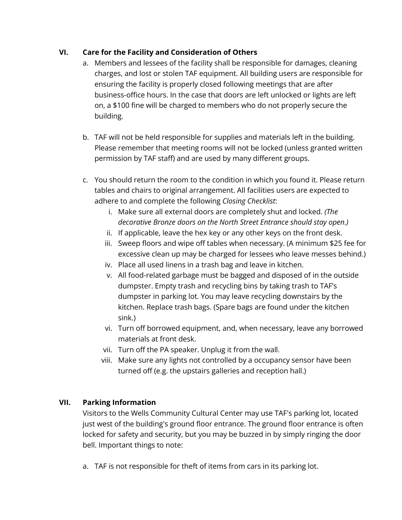# **VI. Care for the Facility and Consideration of Others**

- a. Members and lessees of the facility shall be responsible for damages, cleaning charges, and lost or stolen TAF equipment. All building users are responsible for ensuring the facility is properly closed following meetings that are after business-office hours. In the case that doors are left unlocked or lights are left on, a \$100 fine will be charged to members who do not properly secure the building.
- b. TAF will not be held responsible for supplies and materials left in the building. Please remember that meeting rooms will not be locked (unless granted written permission by TAF staff) and are used by many different groups.
- c. You should return the room to the condition in which you found it. Please return tables and chairs to original arrangement. All facilities users are expected to adhere to and complete the following *Closing Checklist*:
	- i. Make sure all external doors are completely shut and locked. *(The decorative Bronze doors on the North Street Entrance should stay open.)*
	- ii. If applicable, leave the hex key or any other keys on the front desk.
	- iii. Sweep floors and wipe off tables when necessary. (A minimum \$25 fee for excessive clean up may be charged for lessees who leave messes behind.)
	- iv. Place all used linens in a trash bag and leave in kitchen.
	- v. All food-related garbage must be bagged and disposed of in the outside dumpster. Empty trash and recycling bins by taking trash to TAF's dumpster in parking lot. You may leave recycling downstairs by the kitchen. Replace trash bags. (Spare bags are found under the kitchen sink.)
	- vi. Turn off borrowed equipment, and, when necessary, leave any borrowed materials at front desk.
	- vii. Turn off the PA speaker. Unplug it from the wall.
	- viii. Make sure any lights not controlled by a occupancy sensor have been turned off (e.g. the upstairs galleries and reception hall.)

## **VII. Parking Information**

Visitors to the Wells Community Cultural Center may use TAF's parking lot, located just west of the building's ground floor entrance. The ground floor entrance is often locked for safety and security, but you may be buzzed in by simply ringing the door bell. Important things to note:

a. TAF is not responsible for theft of items from cars in its parking lot.